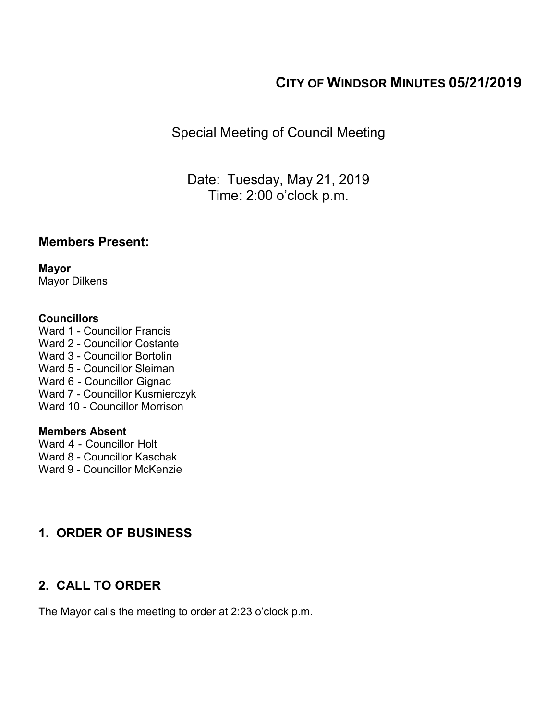# **CITY OF WINDSOR MINUTES 05/21/2019**

Special Meeting of Council Meeting

Date: Tuesday, May 21, 2019 Time: 2:00 o'clock p.m.

## **Members Present:**

**Mayor** Mayor Dilkens

#### **Councillors**

Ward 1 - Councillor Francis Ward 2 - Councillor Costante Ward 3 - Councillor Bortolin Ward 5 - Councillor Sleiman Ward 6 - Councillor Gignac Ward 7 - Councillor Kusmierczyk Ward 10 - Councillor Morrison

### **Members Absent**

Ward 4 - Councillor Holt

Ward 8 - Councillor Kaschak

Ward 9 - Councillor McKenzie

# **1. ORDER OF BUSINESS**

# **2. CALL TO ORDER**

The Mayor calls the meeting to order at 2:23 o'clock p.m.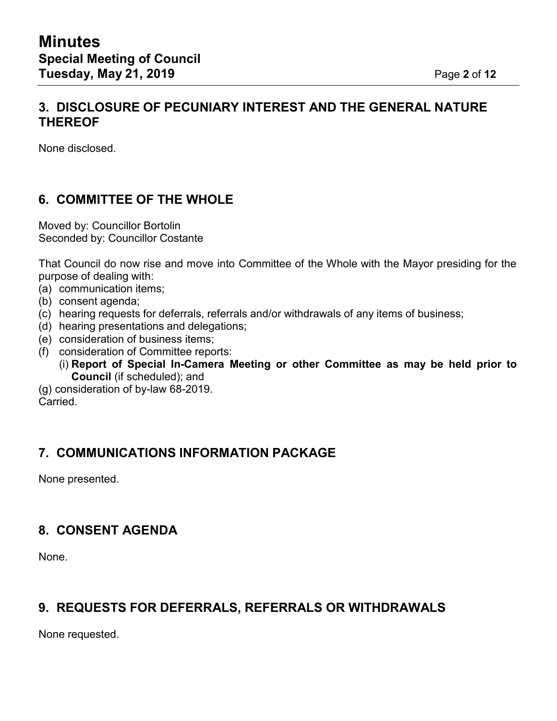## **3. DISCLOSURE OF PECUNIARY INTEREST AND THE GENERAL NATURE THEREOF**

None disclosed.

## **6. COMMITTEE OF THE WHOLE**

Moved by: Councillor Bortolin Seconded by: Councillor Costante

That Council do now rise and move into Committee of the Whole with the Mayor presiding for the purpose of dealing with:

- (a) communication items;
- (b) consent agenda;
- (c) hearing requests for deferrals, referrals and/or withdrawals of any items of business;
- (d) hearing presentations and delegations;
- (e) consideration of business items;
- (f) consideration of Committee reports:
	- (i) **Report of Special In-Camera Meeting or other Committee as may be held prior to Council** (if scheduled); and
- (g) consideration of by-law 68-2019. Carried.

## **7. COMMUNICATIONS INFORMATION PACKAGE**

None presented.

## **8. CONSENT AGENDA**

None.

## **9. REQUESTS FOR DEFERRALS, REFERRALS OR WITHDRAWALS**

None requested.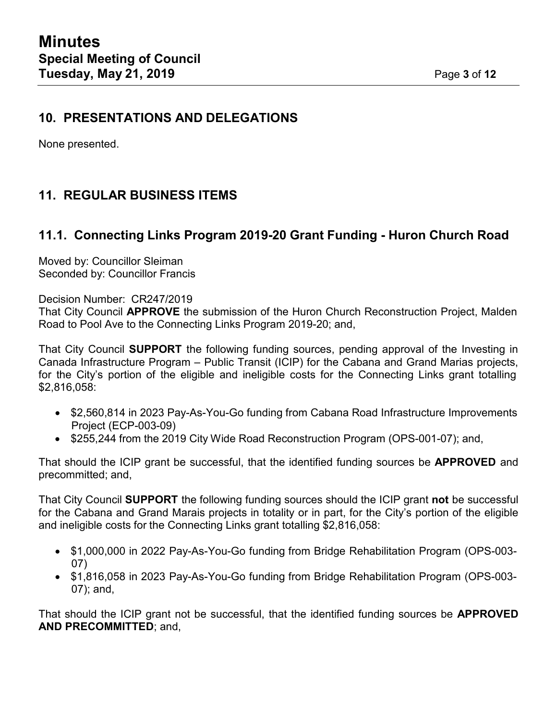None presented.

# **11. REGULAR BUSINESS ITEMS**

# **11.1. Connecting Links Program 2019-20 Grant Funding - Huron Church Road**

Moved by: Councillor Sleiman Seconded by: Councillor Francis

Decision Number: CR247/2019

That City Council **APPROVE** the submission of the Huron Church Reconstruction Project, Malden Road to Pool Ave to the Connecting Links Program 2019-20; and,

That City Council **SUPPORT** the following funding sources, pending approval of the Investing in Canada Infrastructure Program – Public Transit (ICIP) for the Cabana and Grand Marias projects, for the City's portion of the eligible and ineligible costs for the Connecting Links grant totalling \$2,816,058:

- \$2,560,814 in 2023 Pay-As-You-Go funding from Cabana Road Infrastructure Improvements Project (ECP-003-09)
- \$255,244 from the 2019 City Wide Road Reconstruction Program (OPS-001-07); and,

That should the ICIP grant be successful, that the identified funding sources be **APPROVED** and precommitted; and,

That City Council **SUPPORT** the following funding sources should the ICIP grant **not** be successful for the Cabana and Grand Marais projects in totality or in part, for the City's portion of the eligible and ineligible costs for the Connecting Links grant totalling \$2,816,058:

- \$1,000,000 in 2022 Pay-As-You-Go funding from Bridge Rehabilitation Program (OPS-003- 07)
- \$1,816,058 in 2023 Pay-As-You-Go funding from Bridge Rehabilitation Program (OPS-003- 07); and,

That should the ICIP grant not be successful, that the identified funding sources be **APPROVED AND PRECOMMITTED**; and,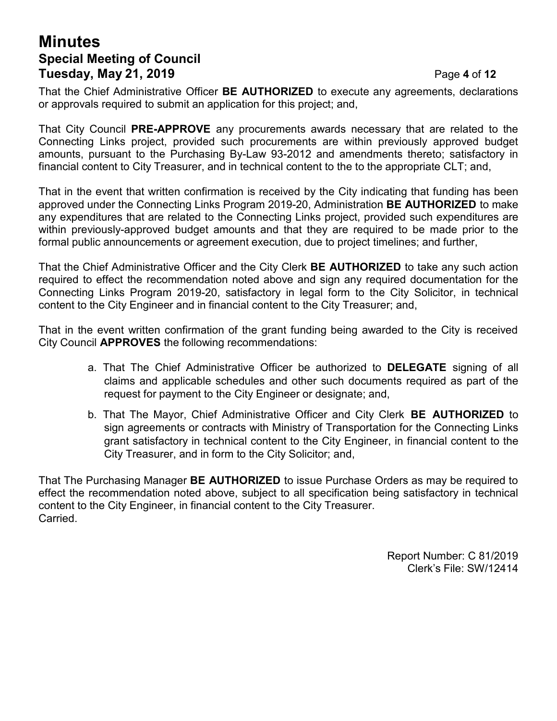# **Minutes Special Meeting of Council Tuesday, May 21, 2019** Page **4** of **12**

That the Chief Administrative Officer **BE AUTHORIZED** to execute any agreements, declarations or approvals required to submit an application for this project; and,

That City Council **PRE-APPROVE** any procurements awards necessary that are related to the Connecting Links project, provided such procurements are within previously approved budget amounts, pursuant to the Purchasing By-Law 93-2012 and amendments thereto; satisfactory in financial content to City Treasurer, and in technical content to the to the appropriate CLT; and,

That in the event that written confirmation is received by the City indicating that funding has been approved under the Connecting Links Program 2019-20, Administration **BE AUTHORIZED** to make any expenditures that are related to the Connecting Links project, provided such expenditures are within previously-approved budget amounts and that they are required to be made prior to the formal public announcements or agreement execution, due to project timelines; and further,

That the Chief Administrative Officer and the City Clerk **BE AUTHORIZED** to take any such action required to effect the recommendation noted above and sign any required documentation for the Connecting Links Program 2019-20, satisfactory in legal form to the City Solicitor, in technical content to the City Engineer and in financial content to the City Treasurer; and,

That in the event written confirmation of the grant funding being awarded to the City is received City Council **APPROVES** the following recommendations:

- a. That The Chief Administrative Officer be authorized to **DELEGATE** signing of all claims and applicable schedules and other such documents required as part of the request for payment to the City Engineer or designate; and,
- b. That The Mayor, Chief Administrative Officer and City Clerk **BE AUTHORIZED** to sign agreements or contracts with Ministry of Transportation for the Connecting Links grant satisfactory in technical content to the City Engineer, in financial content to the City Treasurer, and in form to the City Solicitor; and,

That The Purchasing Manager **BE AUTHORIZED** to issue Purchase Orders as may be required to effect the recommendation noted above, subject to all specification being satisfactory in technical content to the City Engineer, in financial content to the City Treasurer. Carried.

> Report Number: C 81/2019 Clerk's File: SW/12414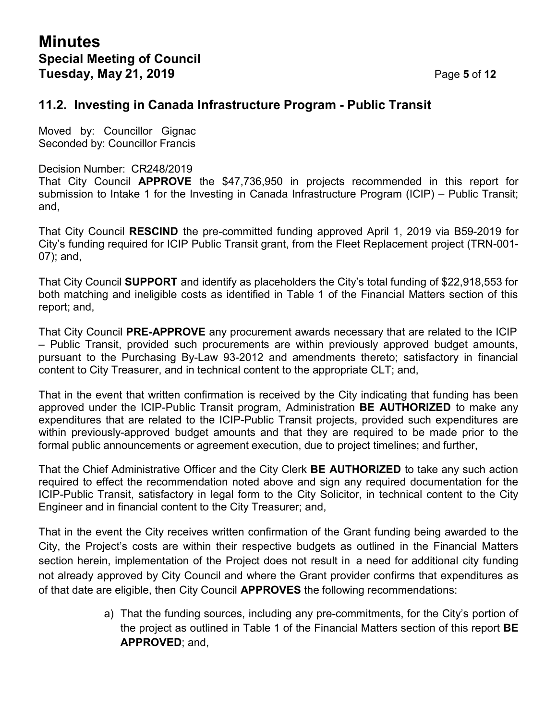## **11.2. Investing in Canada Infrastructure Program - Public Transit**

Moved by: Councillor Gignac Seconded by: Councillor Francis

#### Decision Number: CR248/2019

That City Council **APPROVE** the \$47,736,950 in projects recommended in this report for submission to Intake 1 for the Investing in Canada Infrastructure Program (ICIP) – Public Transit; and,

That City Council **RESCIND** the pre-committed funding approved April 1, 2019 via B59-2019 for City's funding required for ICIP Public Transit grant, from the Fleet Replacement project (TRN-001- 07); and,

That City Council **SUPPORT** and identify as placeholders the City's total funding of \$22,918,553 for both matching and ineligible costs as identified in Table 1 of the Financial Matters section of this report; and,

That City Council **PRE-APPROVE** any procurement awards necessary that are related to the ICIP – Public Transit, provided such procurements are within previously approved budget amounts, pursuant to the Purchasing By-Law 93-2012 and amendments thereto; satisfactory in financial content to City Treasurer, and in technical content to the appropriate CLT; and,

That in the event that written confirmation is received by the City indicating that funding has been approved under the ICIP-Public Transit program, Administration **BE AUTHORIZED** to make any expenditures that are related to the ICIP-Public Transit projects, provided such expenditures are within previously-approved budget amounts and that they are required to be made prior to the formal public announcements or agreement execution, due to project timelines; and further,

That the Chief Administrative Officer and the City Clerk **BE AUTHORIZED** to take any such action required to effect the recommendation noted above and sign any required documentation for the ICIP-Public Transit, satisfactory in legal form to the City Solicitor, in technical content to the City Engineer and in financial content to the City Treasurer; and,

That in the event the City receives written confirmation of the Grant funding being awarded to the City, the Project's costs are within their respective budgets as outlined in the Financial Matters section herein, implementation of the Project does not result in a need for additional city funding not already approved by City Council and where the Grant provider confirms that expenditures as of that date are eligible, then City Council **APPROVES** the following recommendations:

> a) That the funding sources, including any pre-commitments, for the City's portion of the project as outlined in Table 1 of the Financial Matters section of this report **BE APPROVED**; and,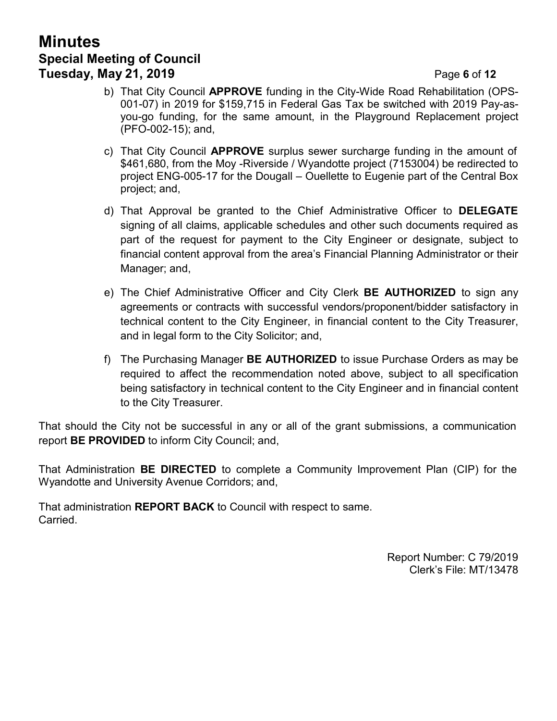# **Minutes Special Meeting of Council Tuesday, May 21, 2019** Page **6** of **12**

- b) That City Council **APPROVE** funding in the City-Wide Road Rehabilitation (OPS-001-07) in 2019 for \$159,715 in Federal Gas Tax be switched with 2019 Pay-asyou-go funding, for the same amount, in the Playground Replacement project (PFO-002-15); and,
- c) That City Council **APPROVE** surplus sewer surcharge funding in the amount of \$461,680, from the Moy -Riverside / Wyandotte project (7153004) be redirected to project ENG-005-17 for the Dougall – Ouellette to Eugenie part of the Central Box project; and,
- d) That Approval be granted to the Chief Administrative Officer to **DELEGATE** signing of all claims, applicable schedules and other such documents required as part of the request for payment to the City Engineer or designate, subject to financial content approval from the area's Financial Planning Administrator or their Manager; and,
- e) The Chief Administrative Officer and City Clerk **BE AUTHORIZED** to sign any agreements or contracts with successful vendors/proponent/bidder satisfactory in technical content to the City Engineer, in financial content to the City Treasurer, and in legal form to the City Solicitor; and,
- f) The Purchasing Manager **BE AUTHORIZED** to issue Purchase Orders as may be required to affect the recommendation noted above, subject to all specification being satisfactory in technical content to the City Engineer and in financial content to the City Treasurer.

That should the City not be successful in any or all of the grant submissions, a communication report **BE PROVIDED** to inform City Council; and,

That Administration **BE DIRECTED** to complete a Community Improvement Plan (CIP) for the Wyandotte and University Avenue Corridors; and,

That administration **REPORT BACK** to Council with respect to same. Carried.

> Report Number: C 79/2019 Clerk's File: MT/13478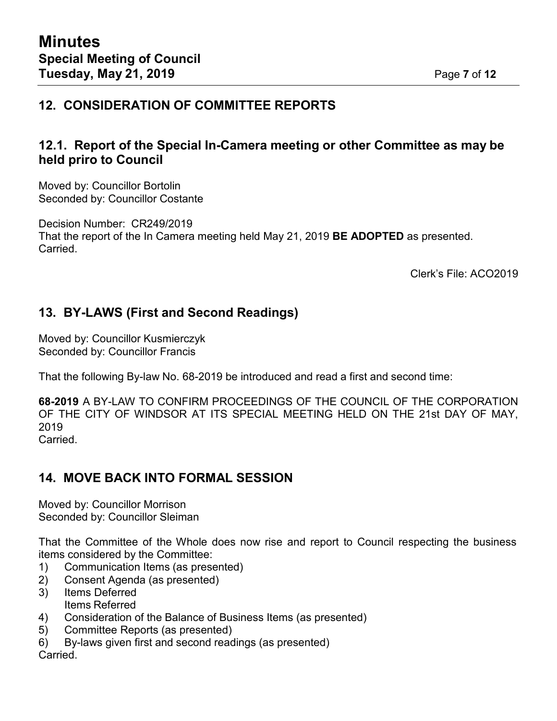# **12. CONSIDERATION OF COMMITTEE REPORTS**

## **12.1. Report of the Special In-Camera meeting or other Committee as may be held priro to Council**

Moved by: Councillor Bortolin Seconded by: Councillor Costante

Decision Number: CR249/2019 That the report of the In Camera meeting held May 21, 2019 **BE ADOPTED** as presented. Carried.

Clerk's File: ACO2019

## **13. BY-LAWS (First and Second Readings)**

Moved by: Councillor Kusmierczyk Seconded by: Councillor Francis

That the following By-law No. 68-2019 be introduced and read a first and second time:

**68-2019** A BY-LAW TO CONFIRM PROCEEDINGS OF THE COUNCIL OF THE CORPORATION OF THE CITY OF WINDSOR AT ITS SPECIAL MEETING HELD ON THE 21st DAY OF MAY, 2019

Carried.

# **14. MOVE BACK INTO FORMAL SESSION**

Moved by: Councillor Morrison Seconded by: Councillor Sleiman

That the Committee of the Whole does now rise and report to Council respecting the business items considered by the Committee:

- 1) Communication Items (as presented)
- 2) Consent Agenda (as presented)
- 3) Items Deferred Items Referred
- 4) Consideration of the Balance of Business Items (as presented)
- 5) Committee Reports (as presented)
- 6) By-laws given first and second readings (as presented)

Carried.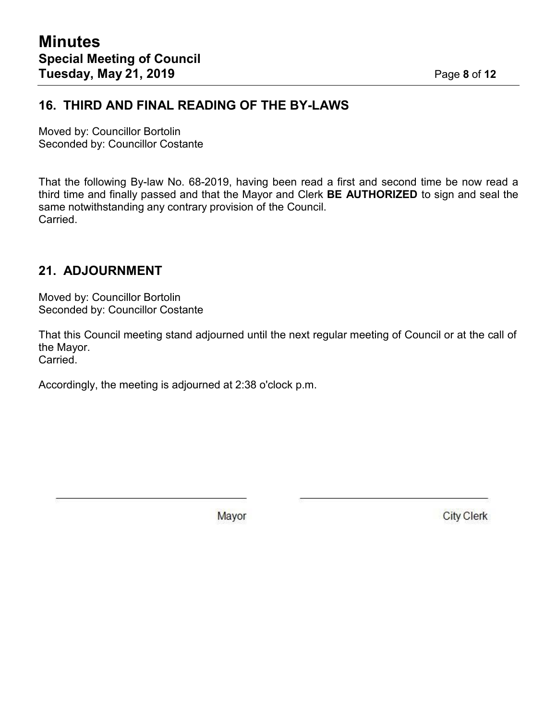## **16. THIRD AND FINAL READING OF THE BY-LAWS**

Moved by: Councillor Bortolin Seconded by: Councillor Costante

That the following By-law No. 68-2019, having been read a first and second time be now read a third time and finally passed and that the Mayor and Clerk **BE AUTHORIZED** to sign and seal the same notwithstanding any contrary provision of the Council. Carried.

## **21. ADJOURNMENT**

Moved by: Councillor Bortolin Seconded by: Councillor Costante

That this Council meeting stand adjourned until the next regular meeting of Council or at the call of the Mayor.

Carried.

Accordingly, the meeting is adjourned at 2:38 o'clock p.m.

Mayor

**City Clerk**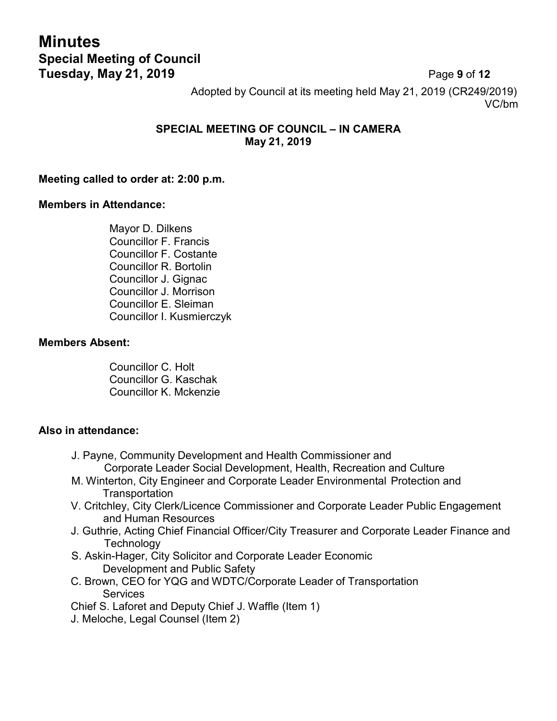# **Minutes Special Meeting of Council Tuesday, May 21, 2019** Page **9** of **12**

Adopted by Council at its meeting held May 21, 2019 (CR249/2019) VC/bm

## **SPECIAL MEETING OF COUNCIL – IN CAMERA May 21, 2019**

#### **Meeting called to order at: 2:00 p.m.**

#### **Members in Attendance:**

Mayor D. Dilkens Councillor F. Francis Councillor F. Costante Councillor R. Bortolin Councillor J. Gignac Councillor J. Morrison Councillor E. Sleiman Councillor I. Kusmierczyk

#### **Members Absent:**

Councillor C. Holt Councillor G. Kaschak Councillor K. Mckenzie

#### **Also in attendance:**

- J. Payne, Community Development and Health Commissioner and Corporate Leader Social Development, Health, Recreation and Culture
- M. Winterton, City Engineer and Corporate Leader Environmental Protection and Transportation
- V. Critchley, City Clerk/Licence Commissioner and Corporate Leader Public Engagement and Human Resources
- J. Guthrie, Acting Chief Financial Officer/City Treasurer and Corporate Leader Finance and **Technology**
- S. Askin-Hager, City Solicitor and Corporate Leader Economic Development and Public Safety
- C. Brown, CEO for YQG and WDTC/Corporate Leader of Transportation **Services**

Chief S. Laforet and Deputy Chief J. Waffle (Item 1)

J. Meloche, Legal Counsel (Item 2)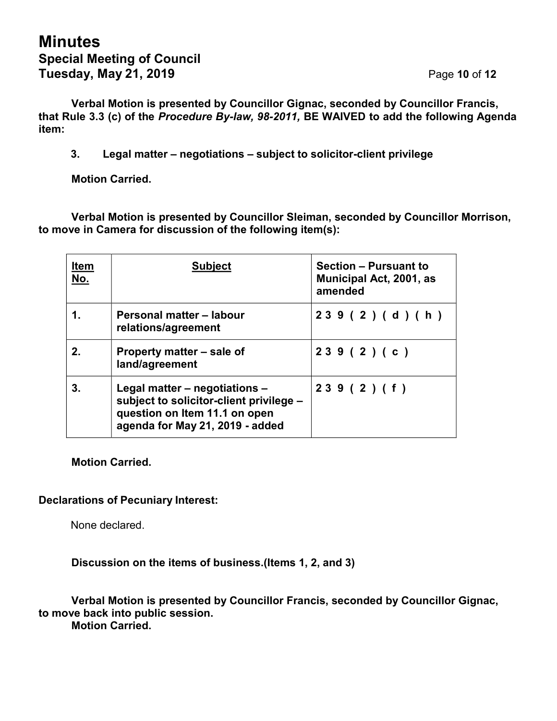**Verbal Motion is presented by Councillor Gignac, seconded by Councillor Francis, that Rule 3.3 (c) of the** *Procedure By-law, 98-2011,* **BE WAIVED to add the following Agenda item:**

**3. Legal matter – negotiations – subject to solicitor-client privilege**

**Motion Carried.**

**Verbal Motion is presented by Councillor Sleiman, seconded by Councillor Morrison, to move in Camera for discussion of the following item(s):**

| <b>Item</b><br><u>No.</u> | <b>Subject</b>                                                                                                                               | Section - Pursuant to<br><b>Municipal Act, 2001, as</b><br>amended |
|---------------------------|----------------------------------------------------------------------------------------------------------------------------------------------|--------------------------------------------------------------------|
| 1.                        | Personal matter - labour<br>relations/agreement                                                                                              | 239(2)(d)(h)                                                       |
| 2.                        | Property matter – sale of<br>land/agreement                                                                                                  | 239(2)(c)                                                          |
| 3.                        | Legal matter – negotiations –<br>subject to solicitor-client privilege -<br>question on Item 11.1 on open<br>agenda for May 21, 2019 - added | 239(2)(f)                                                          |

**Motion Carried.**

### **Declarations of Pecuniary Interest:**

None declared.

**Discussion on the items of business.(Items 1, 2, and 3)**

**Verbal Motion is presented by Councillor Francis, seconded by Councillor Gignac, to move back into public session. Motion Carried.**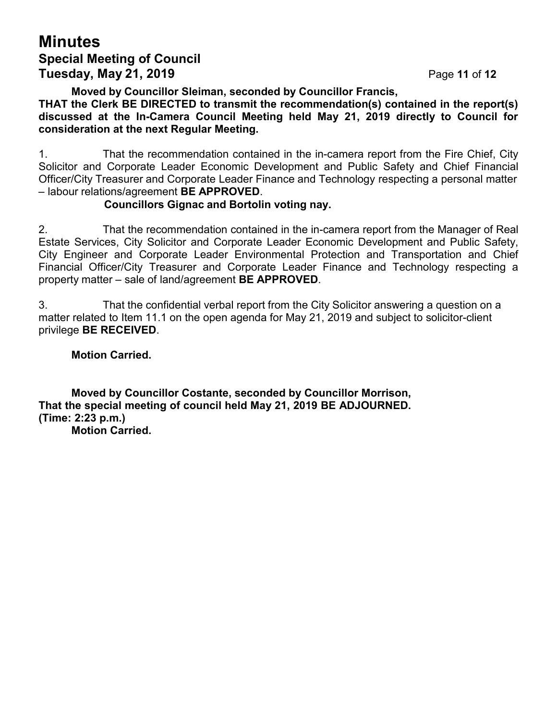# **Minutes Special Meeting of Council Tuesday, May 21, 2019** Page **11** of **12**

**Moved by Councillor Sleiman, seconded by Councillor Francis,**

**THAT the Clerk BE DIRECTED to transmit the recommendation(s) contained in the report(s) discussed at the In-Camera Council Meeting held May 21, 2019 directly to Council for consideration at the next Regular Meeting.**

1. That the recommendation contained in the in-camera report from the Fire Chief, City Solicitor and Corporate Leader Economic Development and Public Safety and Chief Financial Officer/City Treasurer and Corporate Leader Finance and Technology respecting a personal matter – labour relations/agreement **BE APPROVED**.

#### **Councillors Gignac and Bortolin voting nay.**

2. That the recommendation contained in the in-camera report from the Manager of Real Estate Services, City Solicitor and Corporate Leader Economic Development and Public Safety, City Engineer and Corporate Leader Environmental Protection and Transportation and Chief Financial Officer/City Treasurer and Corporate Leader Finance and Technology respecting a property matter – sale of land/agreement **BE APPROVED**.

3. That the confidential verbal report from the City Solicitor answering a question on a matter related to Item 11.1 on the open agenda for May 21, 2019 and subject to solicitor-client privilege **BE RECEIVED**.

**Motion Carried.**

**Moved by Councillor Costante, seconded by Councillor Morrison, That the special meeting of council held May 21, 2019 BE ADJOURNED. (Time: 2:23 p.m.) Motion Carried.**